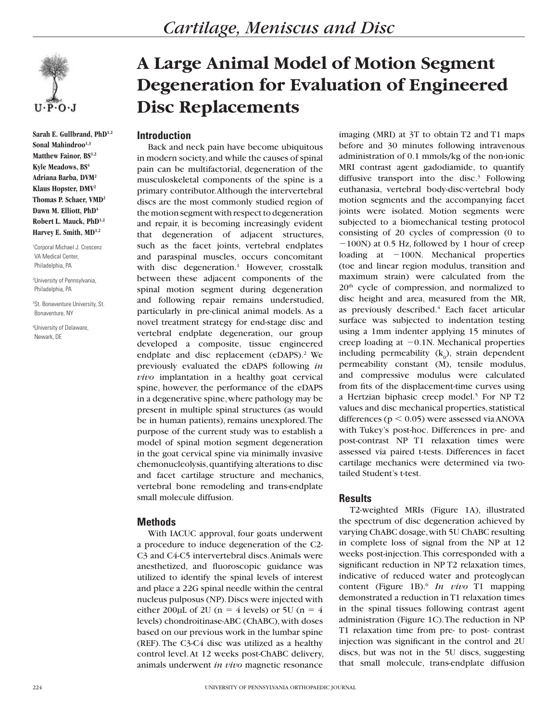

**Sarah E. Gullbrand, PhD1,2** Sonal Mahindroo<sup>1,3</sup> **Matthew Fainor, BS1,2** Kyle Meadows, BS<sup>4</sup> **Adriana Barba, DVM2 Klaus Hopster, DMV2 Thomas P. Schaer, VMD2** Dawn M. Elliott, PhD<sup>4</sup> **Robert L. Mauck, PhD1,2** Harvey E. Smith, MD<sup>1,2</sup>

1 Corporal Michael J. Crescenz VA Medical Center, Philadelphia, PA

2 University of Pennsylvania, Philadelphia, PA

3 St. Bonaventure University, St. Bonaventure, NY

4 University of Delaware, Newark, DE

# **A Large Animal Model of Motion Segment Degeneration for Evaluation of Engineered Disc Replacements**

# **Introduction**

Back and neck pain have become ubiquitous in modern society, and while the causes of spinal pain can be multifactorial, degeneration of the musculoskeletal components of the spine is a primary contributor. Although the intervertebral discs are the most commonly studied region of the motion segment with respect to degeneration and repair, it is becoming increasingly evident that degeneration of adjacent structures, such as the facet joints, vertebral endplates and paraspinal muscles, occurs concomitant with disc degeneration.<sup>1</sup> However, crosstalk between these adjacent components of the spinal motion segment during degeneration and following repair remains understudied, particularly in pre-clinical animal models. As a novel treatment strategy for end-stage disc and vertebral endplate degeneration, our group developed a composite, tissue engineered endplate and disc replacement (eDAPS).<sup>2</sup> We previously evaluated the eDAPS following *in vivo* implantation in a healthy goat cervical spine, however, the performance of the eDAPS in a degenerative spine, where pathology may be present in multiple spinal structures (as would be in human patients), remains unexplored. The purpose of the current study was to establish a model of spinal motion segment degeneration in the goat cervical spine via minimally invasive chemonucleolysis, quantifying alterations to disc and facet cartilage structure and mechanics, vertebral bone remodeling and trans-endplate small molecule diffusion.

# **Methods**

With IACUC approval, four goats underwent a procedure to induce degeneration of the C2- C3 and C4-C5 intervertebral discs. Animals were anesthetized, and fluoroscopic guidance was utilized to identify the spinal levels of interest and place a 22G spinal needle within the central nucleus pulposus (NP). Discs were injected with either 200µL of 2U (n = 4 levels) or 5U (n = 4 levels) chondroitinase-ABC (ChABC), with doses based on our previous work in the lumbar spine (REF). The C3-C4 disc was utilized as a healthy control level. At 12 weeks post-ChABC delivery, animals underwent *in vivo* magnetic resonance

imaging (MRI) at 3T to obtain T2 and T1 maps before and 30 minutes following intravenous administration of 0.1 mmols/kg of the non-ionic MRI contrast agent gadodiamide, to quantify diffusive transport into the disc.<sup>3</sup> Following euthanasia, vertebral body-disc-vertebral body motion segments and the accompanying facet joints were isolated. Motion segments were subjected to a biomechanical testing protocol consisting of 20 cycles of compression (0 to  $-100N$ ) at 0.5 Hz, followed by 1 hour of creep loading at  $-100N$ . Mechanical properties (toe and linear region modulus, transition and maximum strain) were calculated from the 20th cycle of compression, and normalized to disc height and area, measured from the MR, as previously described.<sup>4</sup> Each facet articular surface was subjected to indentation testing using a 1mm indenter applying 15 minutes of creep loading at  $-0.1$ N. Mechanical properties including permeability  $(k_0)$ , strain dependent permeability constant (M), tensile modulus, and compressive modulus were calculated from fits of the displacement-time curves using a Hertzian biphasic creep model.<sup>5</sup> For NP T2 values and disc mechanical properties, statistical differences ( $p < 0.05$ ) were assessed via ANOVA with Tukey's post-hoc. Differences in pre- and post-contrast NP T1 relaxation times were assessed via paired t-tests. Differences in facet cartilage mechanics were determined via twotailed Student's t-test.

## **Results**

T2-weighted MRIs (Figure 1A), illustrated the spectrum of disc degeneration achieved by varying ChABC dosage, with 5U ChABC resulting in complete loss of signal from the NP at 12 weeks post-injection. This corresponded with a significant reduction in NP T2 relaxation times, indicative of reduced water and proteoglycan content (Figure 1B).6 *In vivo* T1 mapping demonstrated a reduction in T1 relaxation times in the spinal tissues following contrast agent administration (Figure 1C). The reduction in NP T1 relaxation time from pre- to post- contrast injection was significant in the control and 2U discs, but was not in the 5U discs, suggesting that small molecule, trans-endplate diffusion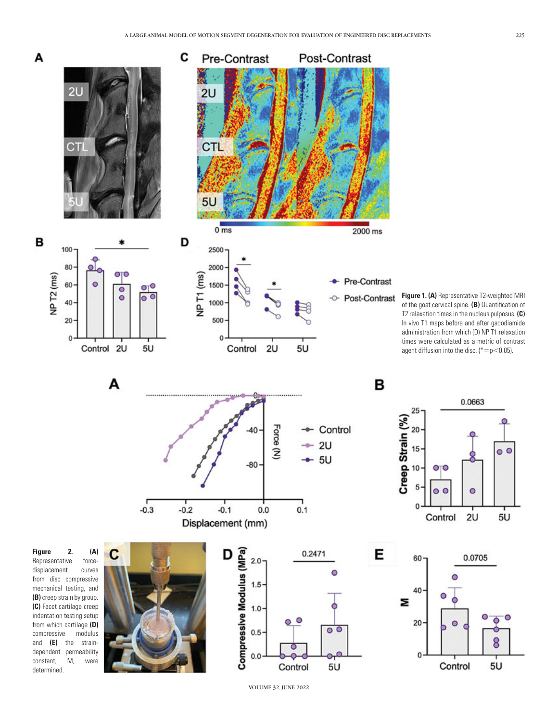